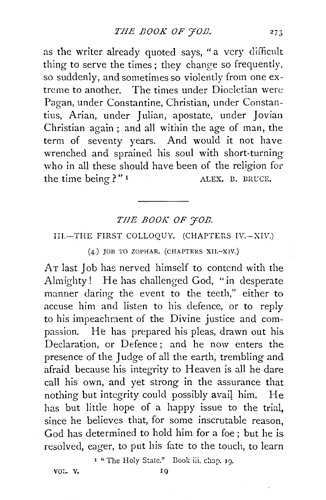as the writer already quoted says, "a very difficult thing to serve the times; they change so frequently, so suddenly, and sometimes so violently from one extreme to another. The times under Diocletian were Pagan, under Constantine, Christian, under Constantius, Arian, under Julian, apostate, under Jovian Christian again ; and all within the age of man, the term of seventy years. And would it not have wrenched and sprained his soul with short-turning who in all these should have been of the religion for the time being?" I ALEX. B. BRUCE.

## THE **BOOK** OF  $\overline{\gamma}$ OB.

## IJI.--THE FIRST COLLOQUY. (CHAPTERS IV.-XIV.)

## (4.) JOB TO ZOPHAR. (CHAPTERS XII.-XIV.)

AT last Job has nerved himself to contend with the Almighty! He has challenged God, "in desperate manner daring the event to the teeth," either to accuse him and listen to his defence, or to reply to his impeachment of the Divine justice and compassion. He has prepared his pleas, drawn out his Declaration, or Defence ; and he now enters the presence of the Judge of all the earth, trembling and afraid because his integrity to Heaven is all he dare call his own, and yet strong in the assurance that nothing but integrity could possibly avail him. He has but little hope of a happy issue to the trial, since he believes that, for some inscrutable reason, God has determined to hold him for a foe ; but he is resolved, eager, to put his fate to the touch, to learn

<sup>1</sup> "The Holy State." Book iii. chap. 19.

VOL. V. IQ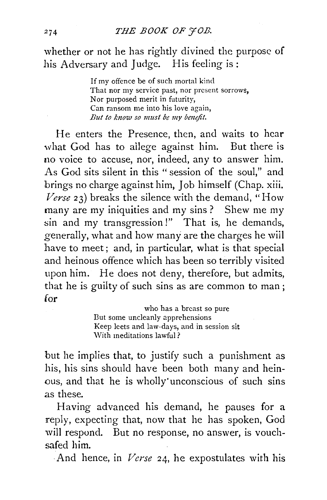whether or not he has rightly divined the purpose of his Adversary and Judge. His feeling is:

> If my offence be of such mortal kind That nor my service past, nor present sorrows, Nor purposed merit in futurity, Can ransom me into his love again, *But to know so must be my benefit.*

He enters the Presence, then, and waits to hear what God has to ailege against him. But there is no voice to accuse, nor, indeed, any to answer him. As God sits silent in this " session of the soul," and brings no charge against him, Job himself (Chap. xiii. *Verse* 23) breaks the silence with the demand, "How many are my iniquities and my sins ? Shew me my sin and my transgression!" That is, he demands, generally, what and how many are the charges he wiil have to meet ; and, in particular, what is that special and heinous offence which has been so terribly visited upon him. He does not deny, therefore, but admits, that he is guilty of such sins as are common to man ; for

> who has a breast so pure But some uncleanly apprehensions Keep leets and law-days, and in session sit With meditations lawful?

but he implies that, to justify such a punishment as his, his sins should have been both many and heinous, and that he is wholly'unconscious of such sins as these.

Having advanced his demand, he pauses for a reply, expecting that, now that he has spoken, God will respond. But no response, no answer, is vouchsafed him.

·And hence, in *Verse* 24, he expostulates with his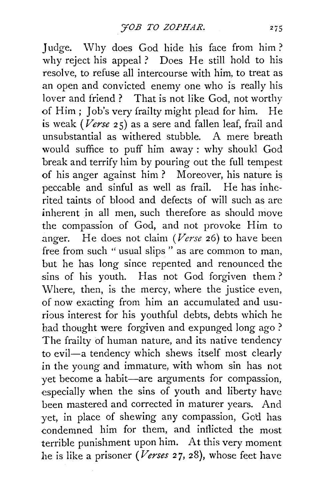Judge. Why does God hide his face from him? why reject his appeal ? Does He still hold to his resolve, to refuse all intercourse with him, to treat as an open and convicted enemy one who is really his lover and friend ? That is not like God, not worthy of Him ; Job's very frailty might plead for him. He is weak *(Verse* 25) as a sere and fallen leaf, frail and unsubstantial as withered stubble. A mere breath would suffice to puff him away: why should God break and terrify him by pouring out the full tempest of his anger against him ? Moreover, his nature is peccable and sinful as well as frail. He has inherited taints of blood and defects of will such as are inherent in all men, such therefore as should move the compassion of God, and not provoke Him to .anger. He does not claim *(Verse* 26) to have been free from such "usual slips" as are common to man, but he has long since repented and renounced the sins of his youth. Has not God forgiven them ? Where, then, is the mercy, where the justice even, of now exacting from him an accumulated and usurious interest for his youthful debts, debts which he had thought were forgiven and expunged long ago ? The frailty of human nature, and its native tendency to evil—a tendency which shews itself most clearly in the young and immature, with whom sin has not yet become a habit-are arguments for compassion, especially when the sins of youth and liberty have been mastered and corrected in maturer years. And yet, in place of shewing any compassion, Gotl has condemned him for them, and inflicted the most terrible punishment upon him. At this very moment he is like a prisoner *(Verses* 27, 28), whose feet have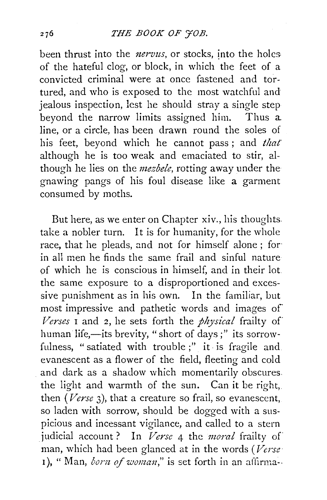been thrust into the *nervus*, or stocks, into the holesof the hateful clog, or block, in which the feet of a convicted criminal were at once fastened and tortured, and who is exposed to the most watchful and jealous inspection, lest he should stray a single step beyond the narrow limits assigned him. Thus a line, or a circle, has been drawn round the soles of his feet, beyond which he cannot pass; and *that* although he is too weak and emaciated to stir, although he lies on the *mezbele,* rotting away under the gnawing pangs of his foul disease like a garment consumed by moths.

But here, as we enter on Chapter xiv., his thoughts. take a nobler turn. It is for humanity, for the whole race, that he pleads, and not for himself alone ; for· in all men he finds the same frail and sinful nature of which he is conscious in himself, and in their lot the same exposure to a disproportioned and excessive punishment as in his own. In the familiar, but most impressive and pathetic words and images of *Verses* 1 and 2, he sets forth the *physical* frailty of human life,-its brevity, "short of days;" its sorrowfulness, "satiated with trouble;" it is fragile and. evanescent as a flower of the field, fleeting and cold and dark as a shadow which momentarily obscures. the light and warmth of the sun. Can it be right, then *(Verse* 3), that a creature so frail, so evanescent, so laden with sorrow, should be dogged with a suspicious and incessant vigilance, and called to a stern judicial account? In *Verse* 4 the *moral* frailty of man, which had been glanced at in the words *(Verse*  1), " Man, *born of woman*," is set forth in an affirma--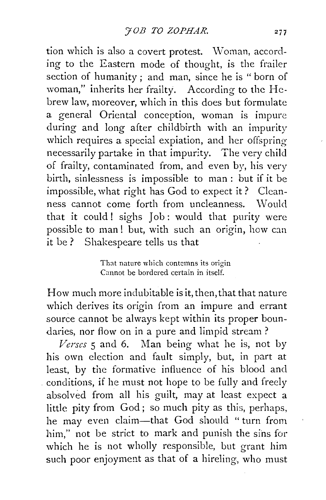tion which is also a covert protest. Woman, according to the Eastern mode of thought, is the frailer section of humanity ; and man, since he is " born of woman," inherits her frailty. According to the Hebrew law, moreover, which in this does but formulate a general Oriental conception, woman is impure during and long after childbirth with an impurity which requires a special expiation, and her offspring necessarily partake in that impurity. The very child of frailty, contaminated from, and even by, his very birth, sinlessness is impossible to man : but if it be impossible, what right has God to expect it? Cleanness cannot come forth from uncleanness. Would that it could! sighs Job: would that purity were possible to man! but, with such an origin, how can it be ? Shakespeare tells us that

> That nature which contemns its origin Cannot be bordered certain in itself.

How much more indubitable is it, then, that that nature which derives its origin from an impure and errant source cannot be always kept within its proper boundaries, nor flow on in a pure and limpid stream?

*Verses* 5 and 6. Man being what he is, not by his own election and fault simply, but, in part at least, by the formative influence of his blood and . conditions, if he must not hope to be fully and freely absolved from all his guilt, may at least expect a little pity from God; so much pity as this, perhaps, he may even claim-that God should " turn from him," not be strict to mark and punish the sins for which he is not wholly responsible, but grant him such poor enjoyment as that of a hireling, who must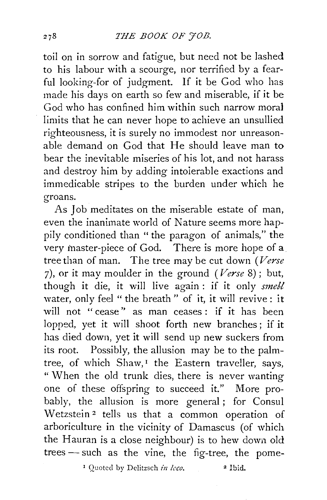toil on in sorrow and fatigue, but need not be lashed to his labour with a scourge, nor terrified by a fearful looking-for of judgment. If it be God who has made his days on earth so few and miserable, if it be God who has confined him within such narrow mora1 limits that he can never hope to achieve an unsullied righteousness, it is surely no immodest nor unreasonable demand on God that He should leave man to bear the inevitable miseries of his lot, and not harass and destroy him by adding intolerable exactions and immedicable stripes to the burden under which he groans.

As Job meditates on the miserable estate of man, even the inanimate world of Nature seems more happily conditioned than "the paragon of animals," the very master-piece of God. There is more hope of a tree than of man. The tree may be cut down *(Verse*  7), or it may moulder in the ground *(Verse* 8); but, though it die, it will live again : if it only *smell* water, only feel "the breath" of it, it will revive: it will not "cease" as man ceases : if it has been lopped, yet it will shoot forth new branches; if it has died down, yet it will send up new suckers from its root. Possibly, the allusion may be to the palmtree, of which  $Shaw, I$  the Eastern traveller, says, " When the old trunk dies, there is never wanting one of these offspring to succeed it." More probably, the allusion is more general ; for Consul Wetzstein<sup>2</sup> tells us that a common operation of arboriculture in the vicinity of Damascus (of which the Hauran is a close neighbour) is to hew down old trees - such as the vine, the fig-tree, the pome-

1 Quoted by Dclitzsch *in loco.* 2 **Ibid.**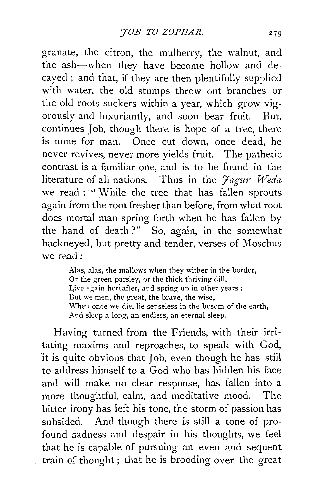granate, the citron, the mulberry, the walnut, and the ash—when they have become hollow and de-<br>cayed; and that, if they are then plentifully supplied with water, the old stumps throw out branches or the old roots suckers within a year, which grow vigorously and luxuriantly, and soon bear fruit. But, continues Job, though there is hope of a tree, there is none for man. Once cut down, once dead, he never revives, never more yields fruit. The pathetic contrast is a familiar one, and is to be found in the literature of all nations. Thus in the *Fagur Weda* we read : " While the tree that has fallen sprouts again from the root fresher than before, from what root does mortal man spring forth when he has fallen by the hand of death?" So, again, in the somewhat hackneyed, but pretty and tender, verses of Moschus we read:

> Alas, alas, the mallows when they wither in the border, Or the green parsley, or the thick thriving dill, Live again hereafter, and spring up in other years : Dut we men, the great, the brave, the wise, When once we die, lie senseless in the bosom of the earth, And sleep a long, an endless, an eternal sleep.

Having turned from the Friends, with their irritating maxims and reproaches, to speak with God, it is quite obvious that Job, even though he has still to address himself to a God who has hidden his face and will make no clear response, has fallen into a more thoughtful, calm, and meditative mood. The bitter irony has left his tone, the storm of passion has subsided. And though there is still a tone of profound sadness and despair in his thoughts, we feel that he is capable of pursuing an even and sequent train  $\alpha$ : thought; that he is brooding over the great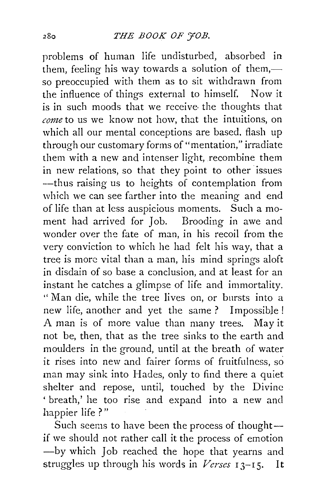problems of human life undisturbed, absorbed in them, feeling his way towards a solution of them, $$ so preoccupied with them as to sit withdrawn from the influence of things external to himself. Now it is in such moods that we receive· the thoughts that *come* to us we know not how, that the intuitions, on which all our mental conceptions are based. flash up through our customary forms of "mentation," irradiate them with a new and intenser light, recombine them in new relations, so that they point to other issues --thus raising us to heights of contemplation from which we can see farther into the meaning and end of life than at less auspicious moments. Such a moment had arrived for Job. Brooding in awe and wonder over the fate of man, in his recoil from the very conviction to which he had felt his way, that a tree is more vital than a man, his mind springs aloft in disdain of so base a conclusion, and at least for an instant he catches a glimpse of life and immortality. "Man die, while the tree lives on, or bursts into a new life, another and yet the same ? Impossible! A man is of more value than many trees. May it not be, then, that as the tree sinks to the earth and moulders in the ground, until at the breath of water it rises into new and fairer forms of fruitfulness, so man may sink into Hades, only to find there a quiet shelter and repose, until, touched by the Divine ' breath,' he too rise and expand into a new and happier life ? "

Such seems to have been the process of thoughtif we should not rather call it the process of emotion -by which Job reached the hope that yearns and struggles up through his words in *Verses* 13-15. It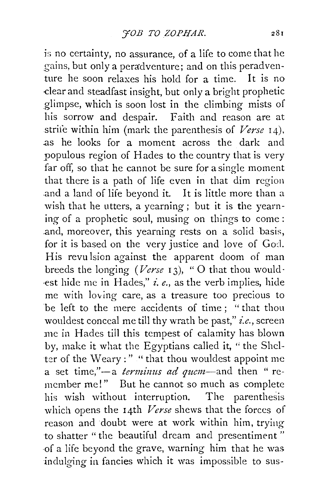is no certainty, no assurance, of a life to come that he gains, but only a peradventure; and on this peradventure he soon relaxes his hold for a time. It is no dear and steadfast insight, but only a bright prophetic glimpse, which is soon lost in the climbing mists of his sorrow and despair. Faith and reason are at strife within him (mark the parenthesis of *Verse* 14) . .as he looks for a moment across the dark and populous region of Hades to the country that is very far off, so that he cannot be sure for a single moment that there is a path of life even in that dim region .and a land of life beyond it. It is little more than a wish that he utters, a yearning; but it is the yearning of a prophetic soul, musing on things to come : .and, moreover, this yearning rests on a solid basis, for it is based on the very justice and love of God. His revulsion against the apparent doom of man breeds the longing *(Verse* 13), "O that thou would-·est hide me in Hades," *i.e.,* as the verb implies, hide me with loving care, as a treasure too precious to be left to the mere accidents of time ; " that thou wouldest conceal me till thy wrath be past," *i.e.,* screen me in Hades tiil this tempest of calamity has blown by, make it what the Egyptians called it, " the Shclter of the Weary : " " that thou wouldest appoint me a set time,"-a *terminus ad quem*-and then "remember me!" But he cannot so much as complete his wish without interruption. The parenthesis which opens the 14th *Verse* shews that the forces of reason and doubt were at work within him, trying to shatter "the beautiful dream and presentiment" ·of a life beyond the grave, warning him that he was indulging in fancies which it was impossible to sus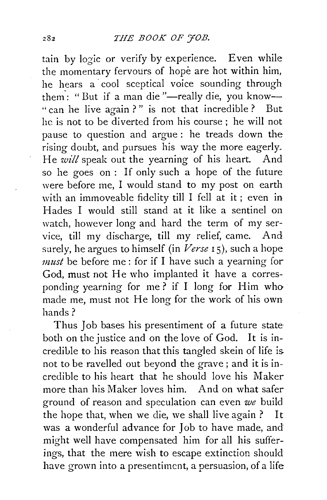tain by logic or verify by experience. Even while the momentary fervours of hope are hot within him, he hears a cool sceptical voice sounding through them: "But if a man die "-really die, you know-" can he live again ?" is not that incredible ? But he is not to be diverted from his course; he will not pause to question and argue : he treads down the rising doubt, and pursues his way the more eagerly. He *will* speak out the yearning of his heart. And so he goes on : If only such a hope of the future were before me, I would stand to my post on earth with an immoveable fidelity till I fell at it ; even in Hades I would still stand at it like a sentinel on watch, however long and hard the term of my service, till my discharge, till my relief, came. And surely, he argues to himself (in *Verse* I 5), such a hope *must* be before me: for if I have such a yearning for God, must not He who implanted it have a corresponding yearning for me? if I long for Him who made me, must not He long for the work of his own hands?

Thus Job bases his presentiment of a future state both on the justice and on the love of God. It is incredible to his reason that this tangled skein of life is. not to be ravelled out beyond the grave ; and it is incredible to his heart that he should love his Maker more than his Maker loves him. And on what safer ground of reason and speculation can even *we* build the hope that, when we die, we shall live again ? It was a wonderful advance for Job to have made, and might well have compensated him for all his sufferings, that the mere wish to escape extinction should have grown into a presentiment, a persuasion, of a life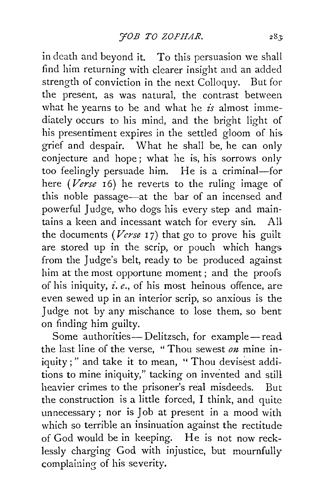in death and beyond it. To this persuasion we shall find him returning with clearer insight and an added strength of conviction in the next Colloquy. But for the present, as was natural, the contrast between what he yearns to be and what he *is* almost immediately occurs to his mind, and the bright light of his presentiment expires in the settled gloom of his grief and despair. What he shall be, he can only conjecture and hope; what he is, his sorrows only too feelingly persuade him. He is a criminal-for here *(Verse* 16) he reverts to the ruling image of this noble passage-at the bar of an incensed and powerful Judge, who dogs his every step and maintains a keen and incessant watch for every sin. AU the documents (Verse 17) that go to prove his guilt are stored up in the scrip, or pouch which hangs from the Judge's belt, ready to be produced against him at the most opportune moment ; and the proofs of his iniquity, *£.e.,* of his most heinous offence, are even sewed up in an interior scrip, so anxious is the Judge not by any mischance to lose them, so bent on finding him guilty.

Some authorities--Delitzsch, for example-read the last line of the verse, "Thou sewest *on* mine iniquity;" and take it to mean, "Thou devisest additions to mine iniquity," tacking on invented and still heavier crimes to the prisoner's real misdeeds. But the construction is a little forced, I think, and quite unnecessary ; nor is Job at present in a mood with which so terrible an insinuation against the rectitude of God would be in keeping. He is not now recklessly charging God with injustice, but mournfully complaining of his severity.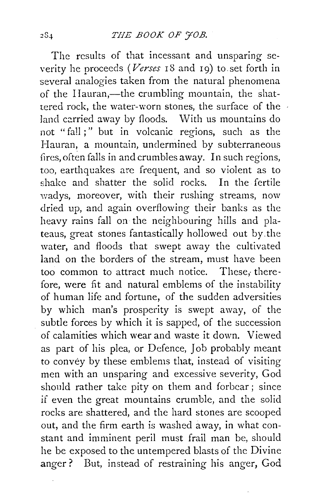The results of that incessant and unsparing severity he proceeds *(Verses* rS and 19) to. set forth in several analogies taken from the natural phenomena of the Hauran,—the crumbling mountain, the shattered rock, the water-worn stones, the surface of the land carried away by floods. With us mountains do not "fall ; " but in volcanic regions, such as the Hauran, a mountain, undermined by subterraneous fires, often falls in and crumbles away. In such regions, too, earthquakes are frequent, and so violent as to shake and shatter the solid rocks. In the fertile wadys, moreover, with their rushing streams, now dried up, and again overflowing their banks as the heavy rains fall on the neighbouring hills and plateaus, great stones fantastically hollowed out by. the water, and floods that swept away the cultivated land on the borders of the stream, must have been too common to attract much notice. These, therefore, were fit and natural emblems of the instability of human life and fortune, of the sudden adversities by which man's prosperity is swept away, of the subtle forces by which it is sapped, of the succession of calamities which wear and waste it down. Viewed as part of his plea, or Defence, Job probably meant to convey by these emblems that, instead of visiting men with an unsparing and excessive severity, God should rather take pity on them and forbear ; since if even the great mountains crumble, and the solid rocks are shattered, and the hard stones are scooped out, and the firm earth is washed away, in what constant and imminent peril must frail man be, should he be exposed to the untempered blasts of the Divine anger? But, instead of restraining his anger, God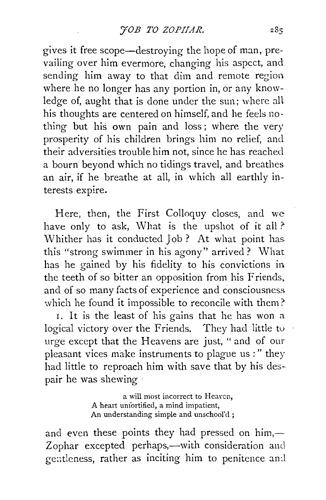gives it free scope—destroying the hope of man, prevailing over him evermore, changing his aspect, and sending him away to that dim and remote region. where he no longer has any portion in, or any knowledge of, aught that is done under the sun; where all his thoughts are centered on himself, and he feels nothing but his own pain and loss; where the very prosperity of his children brings him no relief, and their adversities trouble him not, since he has reached a bourn beyond which no tidings travel, and breathes an air, if he breathe at all, in which all earthly interests expire.

Here, then, the First Colloquy closes, and we have only to ask, What is the upshot of it all? Whither has it conducted Job? At what point has. this "strong swimmer in his agony" arrived? What has he gained by his fidelity to his convictions in. the teeth of so bitter an opposition from his Friends, and of so many facts of experience and consciousness. which he found it impossible to reconcile with them?

I. It is the least of his gains that he has won a logical victory over the Friends. They had little to urge except that the Heavens are just, " and of our pleasant vices make instruments to plague us:" they had little to reproach him with save that by his des-· pair he was shewing ·

> a will most incorrect to Heaven, A heart unfortified, a mind impatient, An understanding simple and unschool'd;

and even these points they had pressed on him, $-$ Zophar excepted perhaps,—with consideration and gentleness, rather as inciting him to penitence and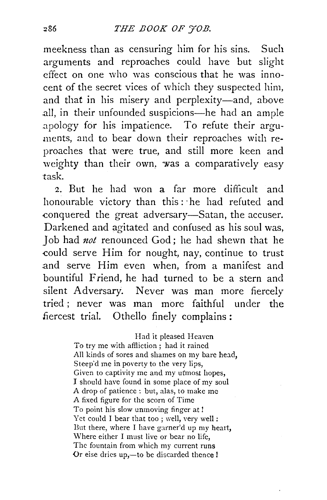meekness than as censuring him for his sins. Such arguments and reproaches could have but slight effect on one who was conscious that he was innocent of the secret vices of which they suspected him, and that in his misery and perplexity-and, above .all, in their unfounded suspicions-he had an ample .apology for his impatience. To refute their arguments, and to bear down their reproaches with reproaches that were true, and still more keen and weighty than their own, was a comparatively easy task.

2. But he had won a far more difficult and honourable victory than this:· he had refuted and conquered the great adversary-Satan, the accuser. Darkened and agitated and confused as his soul was, Job had *not* renounced God ; he had shewn that he -could *serve* Him for nought, nay, continue to trust .and serve Him even when, from a manifest and bountiful Friend, he had turned to be a stern and silent Adversary. Never was man more fiercely tried ; never was man more faithful under the .fiercest trial. Othello finely complains :

> Had it pleased Heaven To try me with affliction ; had it rained All kinds of sores and shames on my bare head, Steep'd me in poverty to the very lips, Given to captivity me and my ufmosr hopes, I should have found in some place of my soul A drop of patience : but, alas, to make me A fixed figure for the scorn of Time To point his slow unmoving finger at! Yet could I bear that too ; well, very well : But there, where I have garner'd up my heart, Where either I must live or bear no life, The fountain from which my current runs Or eise dries up,-to be discarded thence !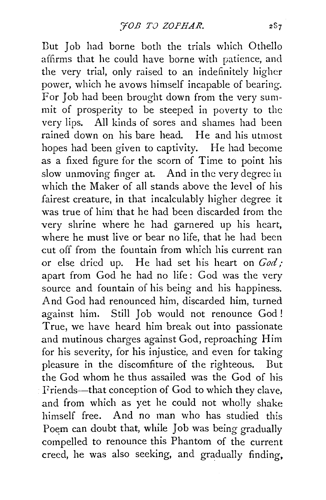Dut Job had borne both the trials which Othello affirms that he could have borne with patience, and the very trial, only raised to an indefinitely higher power, which he avows himself incapable of bearing. For Job had been brought down from the very summit of prosperity to be steeped in poverty to the very lips. All kinds of sores and shames had been rained down on his bare head. He and his utmost hopes had been given to captivity. He had become as a fixed figure for the scorn of Time to point his slow unmoving finger at. And in the very degree in which the Maker of all stands above the level of his fairest creature, in that incalculably higher degree it was true of him that he had been discarded from the very shrine where he had garnered up his heart, where he must live or bear no life, that he had been cut off from the fountain from which his current ran or else dried up. He had set his heart on *God/*  apart from God he had no life: God was the very source and fountain of his being and his happiness. And God had renounced him, discarded him, turned against him. Still Job would not renounce God ! True, we have heard him break out into passionate and mutinous charges against God, reproaching Him for his severity, for his injustice, and even for taking pleasure in the discomfiture of the righteous. But the God whom he thus assailed was the God of his Friends—that conception of God to which they clave, and from which as yet he could not who!ly shake himself free. And no man who has studied this Poem can doubt that, while Job was being gradually compelled to renounce this Phantom of the current creed, he was also seeking, and gradually finding,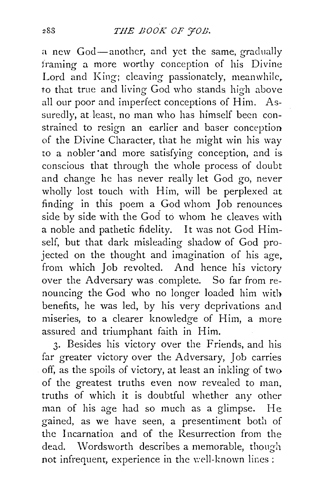a new God-another, and yet the same, gradually framing a more worthy conception of his Divine Lord and King; cleaving passionately, meanwhile, to that true and living God who stands high above all our poor and imperfect conceptions of Him. Assuredly, at least, no man who has himself been constrained to resign an earlier and baser conception of the Divine Character, that he might win his way to a nobler ·and more satisfying conception, and is conscious that through the whole process of doubt and change he has never really let God go, never wholly lost touch with Him, will *be* perplexed at finding in this poem a God whom Job renounces side by side with the God to whom he cleaves with a noble and pathetic fidelity. It was not God Himself, but that dark misleading shadow of God projected on the thought and imagination of his age. from which Job revolted. And hence his victory over the Adversary was complete. So far from renouncing the God who no longer loaded him with benefits, he was led, by his very deprivations and miseries, to a clearer knowledge of Him, a more assured and triumphant faith in Him.

3· Besides his victory over the Friends, and his far greater victory over the Adversary, Job carries off, as the spoils of victory, at least an inkling of two of the greatest truths even now revealed to man, truths of which it is doubtful whether any other man of his age had so much as a glimpse. He gained, as we have seen, a presentiment both of the Incarnation and of the Resurrection from the dead. Wordsworth describes a memorable, though not infrequent, experience in the well-known lines :